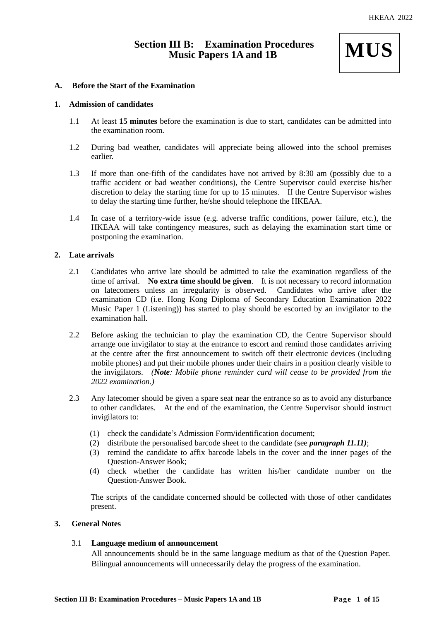# **Section III B: Examination Procedures Music Papers 1A and 1B**



# **A. Before the Start of the Examination**

### **1. Admission of candidates**

- 1.1 At least **15 minutes** before the examination is due to start, candidates can be admitted into the examination room.
- 1.2 During bad weather, candidates will appreciate being allowed into the school premises earlier.
- 1.3 If more than one-fifth of the candidates have not arrived by 8:30 am (possibly due to a traffic accident or bad weather conditions), the Centre Supervisor could exercise his/her discretion to delay the starting time for up to 15 minutes. If the Centre Supervisor wishes to delay the starting time further, he/she should telephone the HKEAA.
- 1.4 In case of a territory-wide issue (e.g. adverse traffic conditions, power failure, etc.), the HKEAA will take contingency measures, such as delaying the examination start time or postponing the examination.

# **2. Late arrivals**

- 2.1 Candidates who arrive late should be admitted to take the examination regardless of the time of arrival. **No extra time should be given**. It is not necessary to record information on latecomers unless an irregularity is observed. Candidates who arrive after the examination CD (i.e. Hong Kong Diploma of Secondary Education Examination 2022 Music Paper 1 (Listening)) has started to play should be escorted by an invigilator to the examination hall.
- 2.2 Before asking the technician to play the examination CD, the Centre Supervisor should arrange one invigilator to stay at the entrance to escort and remind those candidates arriving at the centre after the first announcement to switch off their electronic devices (including mobile phones) and put their mobile phones under their chairs in a position clearly visible to the invigilators. *(Note: Mobile phone reminder card will cease to be provided from the 2022 examination.)*
- 2.3 Any latecomer should be given a spare seat near the entrance so as to avoid any disturbance to other candidates. At the end of the examination, the Centre Supervisor should instruct invigilators to:
	- (1) check the candidate's Admission Form/identification document;
	- (2) distribute the personalised barcode sheet to the candidate (see *paragraph 11.11)*;
	- (3) remind the candidate to affix barcode labels in the cover and the inner pages of the Question-Answer Book;
	- (4) check whether the candidate has written his/her candidate number on the Question-Answer Book.

The scripts of the candidate concerned should be collected with those of other candidates present.

#### **3. General Notes**

# 3.1 **Language medium of announcement**

All announcements should be in the same language medium as that of the Question Paper. Bilingual announcements will unnecessarily delay the progress of the examination.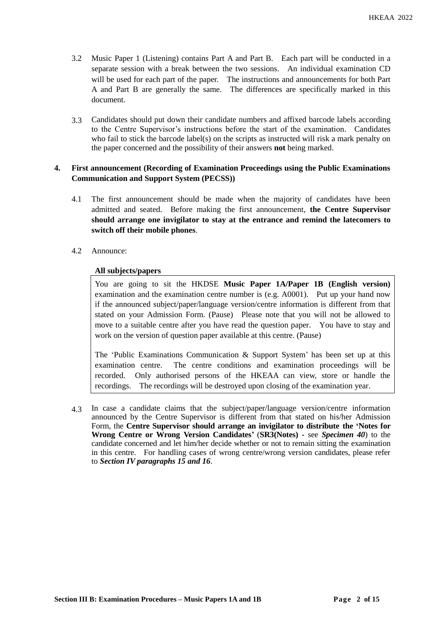- 3.2 Music Paper 1 (Listening) contains Part A and Part B. Each part will be conducted in a separate session with a break between the two sessions. An individual examination CD will be used for each part of the paper. The instructions and announcements for both Part A and Part B are generally the same. The differences are specifically marked in this document.
- 3.3 Candidates should put down their candidate numbers and affixed barcode labels according to the Centre Supervisor's instructions before the start of the examination. Candidates who fail to stick the barcode label(s) on the scripts as instructed will risk a mark penalty on the paper concerned and the possibility of their answers **not** being marked.

# **4. First announcement (Recording of Examination Proceedings using the Public Examinations Communication and Support System (PECSS))**

- 4.1 The first announcement should be made when the majority of candidates have been admitted and seated. Before making the first announcement, **the Centre Supervisor should arrange one invigilator to stay at the entrance and remind the latecomers to switch off their mobile phones**.
- 4.2 Announce:

# **All subjects/papers**

You are going to sit the HKDSE **Music Paper 1A/Paper 1B (English version)**  examination and the examination centre number is (e.g. A0001). Put up your hand now if the announced subject/paper/language version/centre information is different from that stated on your Admission Form. (Pause) Please note that you will not be allowed to move to a suitable centre after you have read the question paper. You have to stay and work on the version of question paper available at this centre. (Pause)

The 'Public Examinations Communication & Support System' has been set up at this examination centre. The centre conditions and examination proceedings will be recorded. Only authorised persons of the HKEAA can view, store or handle the recordings. The recordings will be destroyed upon closing of the examination year.

4.3 In case a candidate claims that the subject/paper/language version/centre information announced by the Centre Supervisor is different from that stated on his/her Admission Form, the **Centre Supervisor should arrange an invigilator to distribute the 'Notes for Wrong Centre or Wrong Version Candidates'** (**SR3(Notes) -** see *Specimen 40*) to the candidate concerned and let him/her decide whether or not to remain sitting the examination in this centre. For handling cases of wrong centre/wrong version candidates, please refer to *Section IV paragraphs 15 and 16*.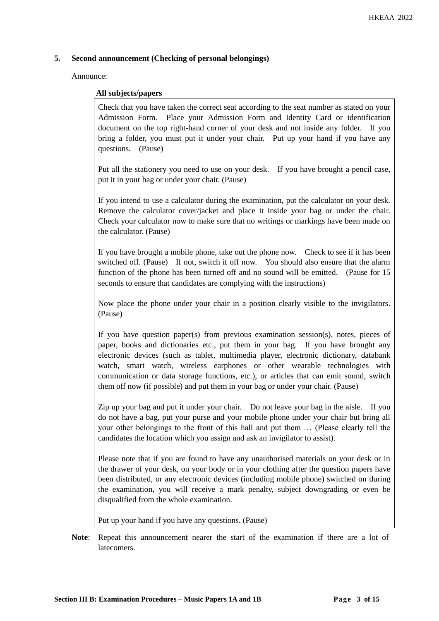# **5. Second announcement (Checking of personal belongings)**

Announce:

## **All subjects/papers**

Check that you have taken the correct seat according to the seat number as stated on your Admission Form. Place your Admission Form and Identity Card or identification document on the top right-hand corner of your desk and not inside any folder. If you bring a folder, you must put it under your chair. Put up your hand if you have any questions. (Pause)

Put all the stationery you need to use on your desk. If you have brought a pencil case, put it in your bag or under your chair. (Pause)

If you intend to use a calculator during the examination, put the calculator on your desk. Remove the calculator cover/jacket and place it inside your bag or under the chair. Check your calculator now to make sure that no writings or markings have been made on the calculator. (Pause)

If you have brought a mobile phone, take out the phone now. Check to see if it has been switched off. (Pause) If not, switch it off now. You should also ensure that the alarm function of the phone has been turned off and no sound will be emitted. (Pause for 15 seconds to ensure that candidates are complying with the instructions)

Now place the phone under your chair in a position clearly visible to the invigilators. (Pause)

If you have question paper(s) from previous examination session(s), notes, pieces of paper, books and dictionaries etc., put them in your bag. If you have brought any electronic devices (such as tablet, multimedia player, electronic dictionary, databank watch, smart watch, wireless earphones or other wearable technologies with communication or data storage functions, etc.), or articles that can emit sound, switch them off now (if possible) and put them in your bag or under your chair. (Pause)

Zip up your bag and put it under your chair. Do not leave your bag in the aisle. If you do not have a bag, put your purse and your mobile phone under your chair but bring all your other belongings to the front of this hall and put them … (Please clearly tell the candidates the location which you assign and ask an invigilator to assist).

Please note that if you are found to have any unauthorised materials on your desk or in the drawer of your desk, on your body or in your clothing after the question papers have been distributed, or any electronic devices (including mobile phone) switched on during the examination, you will receive a mark penalty, subject downgrading or even be disqualified from the whole examination.

Put up your hand if you have any questions. (Pause)

**Note**: Repeat this announcement nearer the start of the examination if there are a lot of latecomers.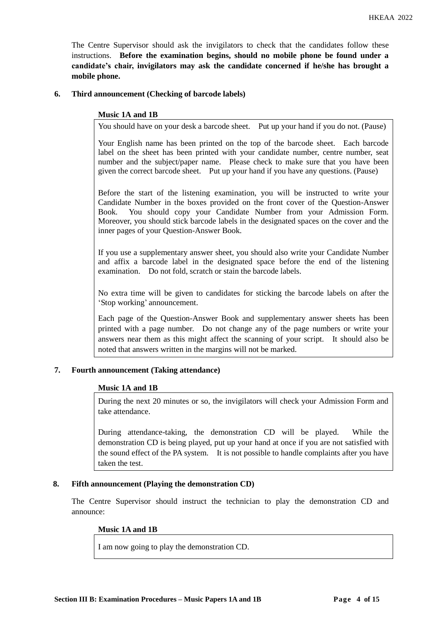The Centre Supervisor should ask the invigilators to check that the candidates follow these instructions. **Before the examination begins, should no mobile phone be found under a candidate's chair, invigilators may ask the candidate concerned if he/she has brought a mobile phone.**

## **6. Third announcement (Checking of barcode labels)**

### **Music 1A and 1B**

You should have on your desk a barcode sheet. Put up your hand if you do not. (Pause)

Your English name has been printed on the top of the barcode sheet. Each barcode label on the sheet has been printed with your candidate number, centre number, seat number and the subject/paper name. Please check to make sure that you have been given the correct barcode sheet. Put up your hand if you have any questions. (Pause)

Before the start of the listening examination, you will be instructed to write your Candidate Number in the boxes provided on the front cover of the Question-Answer Book. You should copy your Candidate Number from your Admission Form. Moreover, you should stick barcode labels in the designated spaces on the cover and the inner pages of your Question-Answer Book.

If you use a supplementary answer sheet, you should also write your Candidate Number and affix a barcode label in the designated space before the end of the listening examination. Do not fold, scratch or stain the barcode labels.

No extra time will be given to candidates for sticking the barcode labels on after the 'Stop working' announcement.

Each page of the Question-Answer Book and supplementary answer sheets has been printed with a page number. Do not change any of the page numbers or write your answers near them as this might affect the scanning of your script. It should also be noted that answers written in the margins will not be marked.

#### **7. Fourth announcement (Taking attendance)**

#### **Music 1A and 1B**

During the next 20 minutes or so, the invigilators will check your Admission Form and take attendance.

During attendance-taking, the demonstration CD will be played. While the demonstration CD is being played, put up your hand at once if you are not satisfied with the sound effect of the PA system. It is not possible to handle complaints after you have taken the test.

### **8. Fifth announcement (Playing the demonstration CD)**

The Centre Supervisor should instruct the technician to play the demonstration CD and announce:

#### **Music 1A and 1B**

I am now going to play the demonstration CD.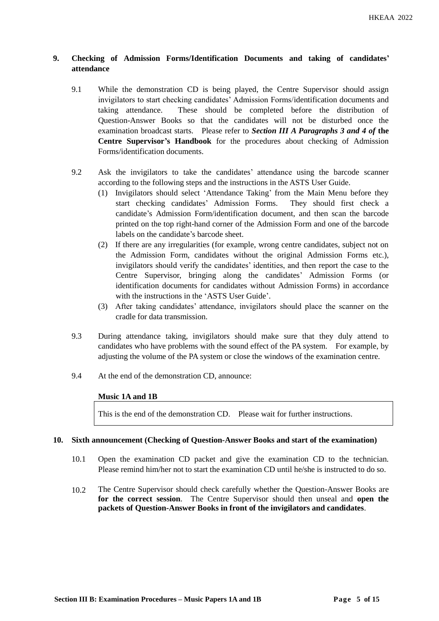# **9. Checking of Admission Forms/Identification Documents and taking of candidates' attendance**

- 9.1 While the demonstration CD is being played, the Centre Supervisor should assign invigilators to start checking candidates' Admission Forms/identification documents and taking attendance. These should be completed before the distribution of Question-Answer Books so that the candidates will not be disturbed once the examination broadcast starts. Please refer to *Section III A Paragraphs 3 and 4 of* **the Centre Supervisor's Handbook** for the procedures about checking of Admission Forms/identification documents.
- 9.2 Ask the invigilators to take the candidates' attendance using the barcode scanner according to the following steps and the instructions in the ASTS User Guide.
	- (1) Invigilators should select 'Attendance Taking' from the Main Menu before they start checking candidates' Admission Forms. They should first check a candidate's Admission Form/identification document, and then scan the barcode printed on the top right-hand corner of the Admission Form and one of the barcode labels on the candidate's barcode sheet.
	- (2) If there are any irregularities (for example, wrong centre candidates, subject not on the Admission Form, candidates without the original Admission Forms etc.), invigilators should verify the candidates' identities, and then report the case to the Centre Supervisor, bringing along the candidates' Admission Forms (or identification documents for candidates without Admission Forms) in accordance with the instructions in the 'ASTS User Guide'.
	- (3) After taking candidates' attendance, invigilators should place the scanner on the cradle for data transmission.
- 9.3 During attendance taking, invigilators should make sure that they duly attend to candidates who have problems with the sound effect of the PA system. For example, by adjusting the volume of the PA system or close the windows of the examination centre.
- 9.4 At the end of the demonstration CD, announce:

# **Music 1A and 1B**

This is the end of the demonstration CD. Please wait for further instructions.

#### **10. Sixth announcement (Checking of Question-Answer Books and start of the examination)**

- 10.1 Open the examination CD packet and give the examination CD to the technician. Please remind him/her not to start the examination CD until he/she is instructed to do so.
- 10.2 The Centre Supervisor should check carefully whether the Question-Answer Books are **for the correct session**. The Centre Supervisor should then unseal and **open the packets of Question-Answer Books in front of the invigilators and candidates**.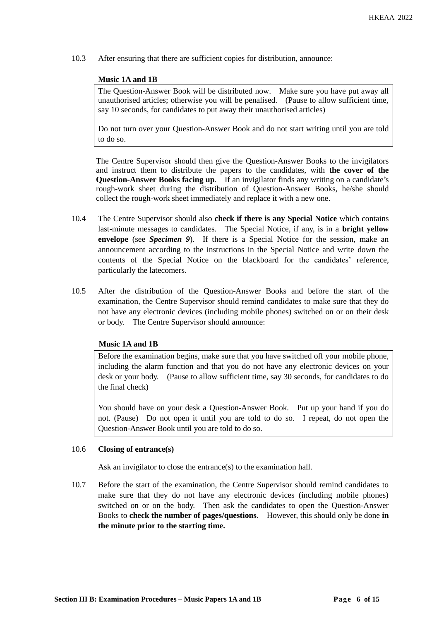10.3 After ensuring that there are sufficient copies for distribution, announce:

### **Music 1A and 1B**

The Question-Answer Book will be distributed now. Make sure you have put away all unauthorised articles; otherwise you will be penalised. (Pause to allow sufficient time, say 10 seconds, for candidates to put away their unauthorised articles)

Do not turn over your Question-Answer Book and do not start writing until you are told to do so.

The Centre Supervisor should then give the Question-Answer Books to the invigilators and instruct them to distribute the papers to the candidates, with **the cover of the Question-Answer Books facing up**. If an invigilator finds any writing on a candidate's rough-work sheet during the distribution of Question-Answer Books, he/she should collect the rough-work sheet immediately and replace it with a new one.

- 10.4 The Centre Supervisor should also **check if there is any Special Notice** which contains last-minute messages to candidates. The Special Notice, if any, is in a **bright yellow envelope** (see *Specimen 9*). If there is a Special Notice for the session, make an announcement according to the instructions in the Special Notice and write down the contents of the Special Notice on the blackboard for the candidates' reference, particularly the latecomers.
- 10.5 After the distribution of the Question-Answer Books and before the start of the examination, the Centre Supervisor should remind candidates to make sure that they do not have any electronic devices (including mobile phones) switched on or on their desk or body. The Centre Supervisor should announce:

# **Music 1A and 1B**

Before the examination begins, make sure that you have switched off your mobile phone, including the alarm function and that you do not have any electronic devices on your desk or your body. (Pause to allow sufficient time, say 30 seconds, for candidates to do the final check)

You should have on your desk a Question-Answer Book. Put up your hand if you do not. (Pause) Do not open it until you are told to do so. I repeat, do not open the Question-Answer Book until you are told to do so.

#### 10.6 **Closing of entrance(s)**

Ask an invigilator to close the entrance(s) to the examination hall.

10.7 Before the start of the examination, the Centre Supervisor should remind candidates to make sure that they do not have any electronic devices (including mobile phones) switched on or on the body. Then ask the candidates to open the Question-Answer Books to **check the number of pages/questions**. However, this should only be done **in the minute prior to the starting time.**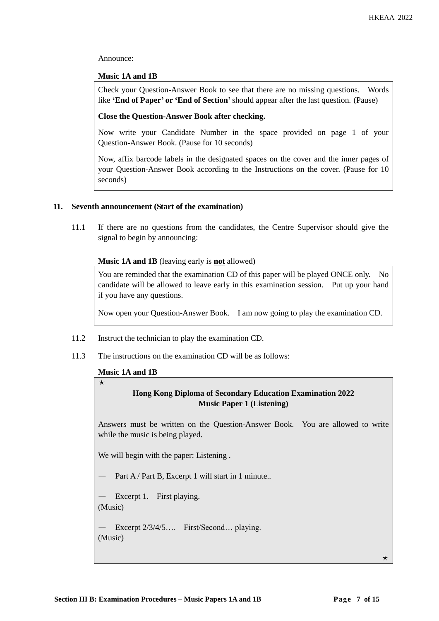Announce:

## **Music 1A and 1B**

Check your Question-Answer Book to see that there are no missing questions. Words like **'End of Paper' or 'End of Section'**should appear after the last question. (Pause)

# **Close the Question-Answer Book after checking.**

Now write your Candidate Number in the space provided on page 1 of your Question-Answer Book. (Pause for 10 seconds)

Now, affix barcode labels in the designated spaces on the cover and the inner pages of your Question-Answer Book according to the Instructions on the cover. (Pause for 10 seconds)

# **11. Seventh announcement (Start of the examination)**

11.1 If there are no questions from the candidates, the Centre Supervisor should give the signal to begin by announcing:

### **Music 1A and 1B** (leaving early is **not** allowed)

You are reminded that the examination CD of this paper will be played ONCE only. No candidate will be allowed to leave early in this examination session. Put up your hand if you have any questions.

Now open your Question-Answer Book. I am now going to play the examination CD.

- 11.2 Instruct the technician to play the examination CD.
- 11.3 The instructions on the examination CD will be as follows:

#### **Music 1A and 1B**

 $\star$ 

# **Hong Kong Diploma of Secondary Education Examination 2022 Music Paper 1 (Listening)**

Answers must be written on the Question-Answer Book. You are allowed to write while the music is being played.

We will begin with the paper: Listening .

Part A / Part B, Excerpt 1 will start in 1 minute..

Excerpt 1. First playing. (Music)

— Excerpt 2/3/4/5…. First/Second… playing. (Music)

 $\star$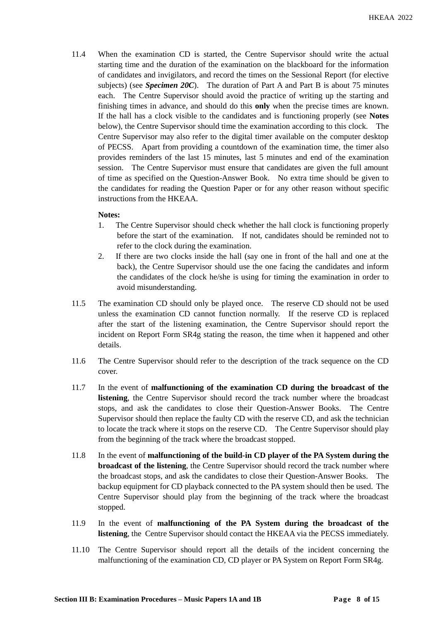11.4 When the examination CD is started, the Centre Supervisor should write the actual starting time and the duration of the examination on the blackboard for the information of candidates and invigilators, and record the times on the Sessional Report (for elective subjects) (see *Specimen 20C*). The duration of Part A and Part B is about 75 minutes each. The Centre Supervisor should avoid the practice of writing up the starting and finishing times in advance, and should do this **only** when the precise times are known. If the hall has a clock visible to the candidates and is functioning properly (see **Notes** below), the Centre Supervisor should time the examination according to this clock. The Centre Supervisor may also refer to the digital timer available on the computer desktop of PECSS. Apart from providing a countdown of the examination time, the timer also provides reminders of the last 15 minutes, last 5 minutes and end of the examination session. The Centre Supervisor must ensure that candidates are given the full amount of time as specified on the Question-Answer Book. No extra time should be given to the candidates for reading the Question Paper or for any other reason without specific instructions from the HKEAA.

# **Notes:**

- 1. The Centre Supervisor should check whether the hall clock is functioning properly before the start of the examination. If not, candidates should be reminded not to refer to the clock during the examination.
- 2. If there are two clocks inside the hall (say one in front of the hall and one at the back), the Centre Supervisor should use the one facing the candidates and inform the candidates of the clock he/she is using for timing the examination in order to avoid misunderstanding.
- 11.5 The examination CD should only be played once. The reserve CD should not be used unless the examination CD cannot function normally. If the reserve CD is replaced after the start of the listening examination, the Centre Supervisor should report the incident on Report Form SR4g stating the reason, the time when it happened and other details.
- 11.6 The Centre Supervisor should refer to the description of the track sequence on the CD cover.
- 11.7 In the event of **malfunctioning of the examination CD during the broadcast of the listening***,* the Centre Supervisor should record the track number where the broadcast stops, and ask the candidates to close their Question-Answer Books. The Centre Supervisor should then replace the faulty CD with the reserve CD, and ask the technician to locate the track where it stops on the reserve CD. The Centre Supervisor should play from the beginning of the track where the broadcast stopped.
- 11.8 In the event of **malfunctioning of the build-in CD player of the PA System during the broadcast of the listening**, the Centre Supervisor should record the track number where the broadcast stops, and ask the candidates to close their Question-Answer Books. The backup equipment for CD playback connected to the PA system should then be used. The Centre Supervisor should play from the beginning of the track where the broadcast stopped.
- 11.9 In the event of **malfunctioning of the PA System during the broadcast of the listening**, the Centre Supervisor should contact the HKEAA via the PECSS immediately.
- 11.10 The Centre Supervisor should report all the details of the incident concerning the malfunctioning of the examination CD, CD player or PA System on Report Form SR4g.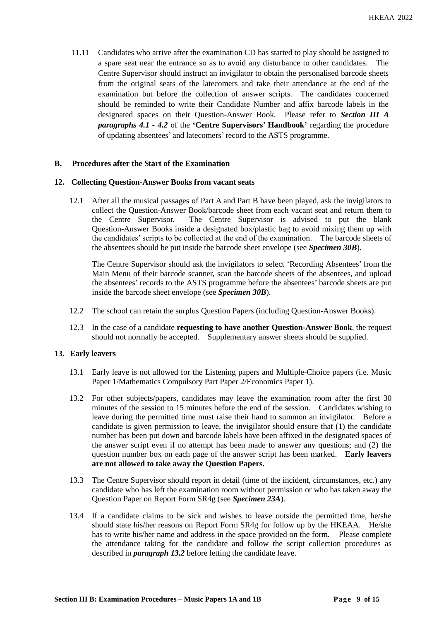11.11 Candidates who arrive after the examination CD has started to play should be assigned to a spare seat near the entrance so as to avoid any disturbance to other candidates. The Centre Supervisor should instruct an invigilator to obtain the personalised barcode sheets from the original seats of the latecomers and take their attendance at the end of the examination but before the collection of answer scripts. The candidates concerned should be reminded to write their Candidate Number and affix barcode labels in the designated spaces on their Question-Answer Book. Please refer to *Section III A paragraphs 4.1 - 4.2* of the **'Centre Supervisors' Handbook'** regarding the procedure of updating absentees' and latecomers' record to the ASTS programme.

### **B. Procedures after the Start of the Examination**

#### **12. Collecting Question-Answer Books from vacant seats**

12.1 After all the musical passages of Part A and Part B have been played, ask the invigilators to collect the Question-Answer Book/barcode sheet from each vacant seat and return them to the Centre Supervisor. The Centre Supervisor is advised to put the blank Question-Answer Books inside a designated box/plastic bag to avoid mixing them up with the candidates' scripts to be collected at the end of the examination. The barcode sheets of the absentees should be put inside the barcode sheet envelope (see *Specimen 30B*).

The Centre Supervisor should ask the invigilators to select 'Recording Absentees' from the Main Menu of their barcode scanner, scan the barcode sheets of the absentees, and upload the absentees' records to the ASTS programme before the absentees' barcode sheets are put inside the barcode sheet envelope (see *Specimen 30B*).

- 12.2 The school can retain the surplus Question Papers (including Question-Answer Books).
- 12.3 In the case of a candidate **requesting to have another Question-Answer Book**, the request should not normally be accepted. Supplementary answer sheets should be supplied.

# **13. Early leavers**

- 13.1 Early leave is not allowed for the Listening papers and Multiple-Choice papers (i.e. Music Paper 1/Mathematics Compulsory Part Paper 2/Economics Paper 1).
- 13.2 For other subjects/papers, candidates may leave the examination room after the first 30 minutes of the session to 15 minutes before the end of the session. Candidates wishing to leave during the permitted time must raise their hand to summon an invigilator. Before a candidate is given permission to leave, the invigilator should ensure that (1) the candidate number has been put down and barcode labels have been affixed in the designated spaces of the answer script even if no attempt has been made to answer any questions; and (2) the question number box on each page of the answer script has been marked. **Early leavers are not allowed to take away the Question Papers.**
- 13.3 The Centre Supervisor should report in detail (time of the incident, circumstances, etc.) any candidate who has left the examination room without permission or who has taken away the Question Paper on Report Form SR4g (see *Specimen 23A*).
- 13.4 If a candidate claims to be sick and wishes to leave outside the permitted time, he/she should state his/her reasons on Report Form SR4g for follow up by the HKEAA. He/she has to write his/her name and address in the space provided on the form. Please complete the attendance taking for the candidate and follow the script collection procedures as described in *paragraph 13.2* before letting the candidate leave.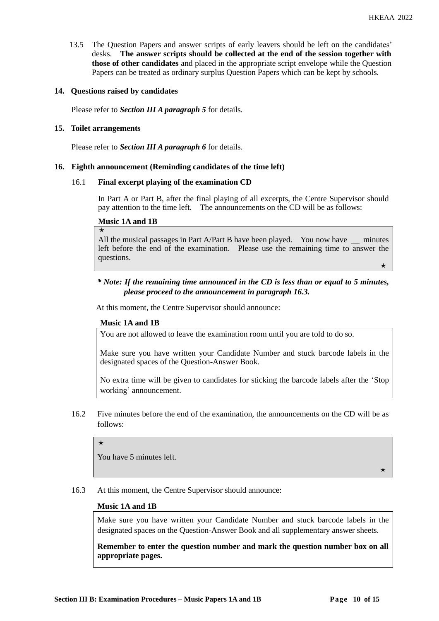13.5 The Question Papers and answer scripts of early leavers should be left on the candidates' desks. **The answer scripts should be collected at the end of the session together with those of other candidates** and placed in the appropriate script envelope while the Question Papers can be treated as ordinary surplus Question Papers which can be kept by schools.

### **14. Questions raised by candidates**

Please refer to *Section III A paragraph 5* for details.

#### **15. Toilet arrangements**

Please refer to *Section III A paragraph 6* for details.

### **16. Eighth announcement (Reminding candidates of the time left)**

#### 16.1 **Final excerpt playing of the examination CD**

In Part A or Part B, after the final playing of all excerpts, the Centre Supervisor should pay attention to the time left. The announcements on the CD will be as follows:

#### **Music 1A and 1B**

 $\star$ 

All the musical passages in Part A/Part B have been played. You now have minutes left before the end of the examination. Please use the remaining time to answer the questions.  $\star$  and the contract of the contract of the contract of the contract of the contract of the contract of the contract of the contract of the contract of the contract of the contract of the contract of the contract of the

# *\* Note: If the remaining time announced in the CD is less than or equal to 5 minutes, please proceed to the announcement in paragraph 16.3.*

At this moment, the Centre Supervisor should announce:

# **Music 1A and 1B**

You are not allowed to leave the examination room until you are told to do so.

Make sure you have written your Candidate Number and stuck barcode labels in the designated spaces of the Question-Answer Book.

No extra time will be given to candidates for sticking the barcode labels after the 'Stop working' announcement.

16.2 Five minutes before the end of the examination, the announcements on the CD will be as follows:

 $\star$ 

You have 5 minutes left.

 $\star$ 

16.3 At this moment, the Centre Supervisor should announce:

#### **Music 1A and 1B**

Make sure you have written your Candidate Number and stuck barcode labels in the designated spaces on the Question-Answer Book and all supplementary answer sheets.

**Remember to enter the question number and mark the question number box on all appropriate pages.**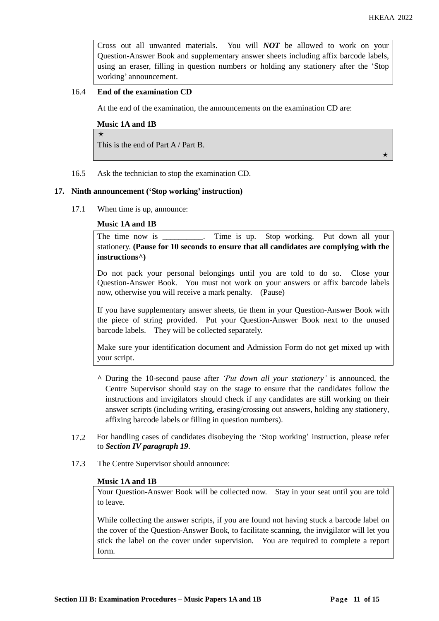$\rightarrow$ 

Cross out all unwanted materials. You will *NOT* be allowed to work on your Question-Answer Book and supplementary answer sheets including affix barcode labels, using an eraser, filling in question numbers or holding any stationery after the 'Stop working' announcement.

# 16.4 **End of the examination CD**

At the end of the examination, the announcements on the examination CD are:

#### **Music 1A and 1B**

 $\star$ This is the end of Part A / Part B.

16.5 Ask the technician to stop the examination CD.

#### **17. Ninth announcement ('Stop working' instruction)**

17.1 When time is up, announce:

# **Music 1A and 1B**

The time now is \_\_\_\_\_\_\_\_. Time is up. Stop working. Put down all your stationery. **(Pause for 10 seconds to ensure that all candidates are complying with the instructions^)**

Do not pack your personal belongings until you are told to do so. Close your Question-Answer Book. You must not work on your answers or affix barcode labels now, otherwise you will receive a mark penalty. (Pause)

If you have supplementary answer sheets, tie them in your Question-Answer Book with the piece of string provided. Put your Question-Answer Book next to the unused barcode labels. They will be collected separately.

Make sure your identification document and Admission Form do not get mixed up with your script.

- **^** During the 10-second pause after *'Put down all your stationery'* is announced, the Centre Supervisor should stay on the stage to ensure that the candidates follow the instructions and invigilators should check if any candidates are still working on their answer scripts (including writing, erasing/crossing out answers, holding any stationery, affixing barcode labels or filling in question numbers).
- 17.2 For handling cases of candidates disobeying the 'Stop working' instruction, please refer to *Section IV paragraph 19*.
- 17.3 The Centre Supervisor should announce:

#### **Music 1A and 1B**

Your Question-Answer Book will be collected now. Stay in your seat until you are told to leave.

While collecting the answer scripts, if you are found not having stuck a barcode label on the cover of the Question-Answer Book, to facilitate scanning, the invigilator will let you stick the label on the cover under supervision. You are required to complete a report form.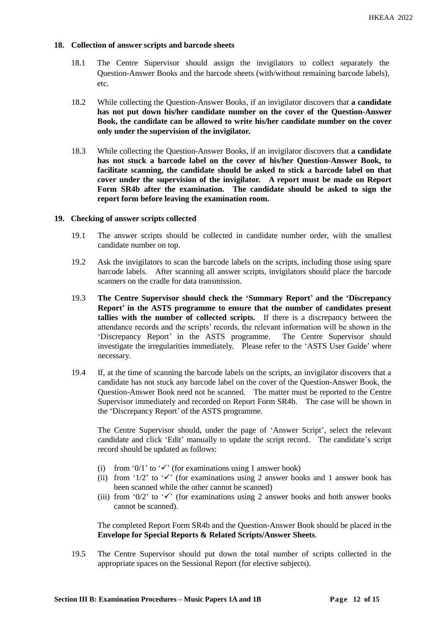## **18. Collection of answer scripts and barcode sheets**

- 18.1 The Centre Supervisor should assign the invigilators to collect separately the Question-Answer Books and the barcode sheets (with/without remaining barcode labels), etc.
- 18.2 While collecting the Question-Answer Books, if an invigilator discovers that **a candidate has not put down his/her candidate number on the cover of the Question-Answer Book, the candidate can be allowed to write his/her candidate number on the cover only under the supervision of the invigilator.**
- 18.3 While collecting the Question-Answer Books, if an invigilator discovers that **a candidate has not stuck a barcode label on the cover of his/her Question-Answer Book, to facilitate scanning, the candidate should be asked to stick a barcode label on that cover under the supervision of the invigilator. A report must be made on Report Form SR4b after the examination. The candidate should be asked to sign the report form before leaving the examination room.**

#### **19. Checking of answer scripts collected**

- 19.1 The answer scripts should be collected in candidate number order, with the smallest candidate number on top.
- 19.2 Ask the invigilators to scan the barcode labels on the scripts, including those using spare barcode labels. After scanning all answer scripts, invigilators should place the barcode scanners on the cradle for data transmission.
- 19.3 **The Centre Supervisor should check the 'Summary Report' and the 'Discrepancy Report' in the ASTS programme to ensure that the number of candidates present tallies with the number of collected scripts.** If there is a discrepancy between the attendance records and the scripts' records, the relevant information will be shown in the 'Discrepancy Report' in the ASTS programme. The Centre Supervisor should investigate the irregularities immediately. Please refer to the 'ASTS User Guide' where necessary.
- 19.4 If, at the time of scanning the barcode labels on the scripts, an invigilator discovers that a candidate has not stuck any barcode label on the cover of the Question-Answer Book, the Question-Answer Book need not be scanned. The matter must be reported to the Centre Supervisor immediately and recorded on Report Form SR4b. The case will be shown in the 'Discrepancy Report' of the ASTS programme.

The Centre Supervisor should, under the page of 'Answer Script', select the relevant candidate and click 'Edit' manually to update the script record. The candidate's script record should be updated as follows:

- (i) from '0/1' to ' $\checkmark$ ' (for examinations using 1 answer book)
- (ii) from '1/2' to ' $\checkmark$ ' (for examinations using 2 answer books and 1 answer book has been scanned while the other cannot be scanned)
- (iii) from '0/2' to ' $\checkmark$ ' (for examinations using 2 answer books and both answer books cannot be scanned).

The completed Report Form SR4b and the Question-Answer Book should be placed in the **Envelope for Special Reports & Related Scripts/Answer Sheets**.

19.5 The Centre Supervisor should put down the total number of scripts collected in the appropriate spaces on the Sessional Report (for elective subjects).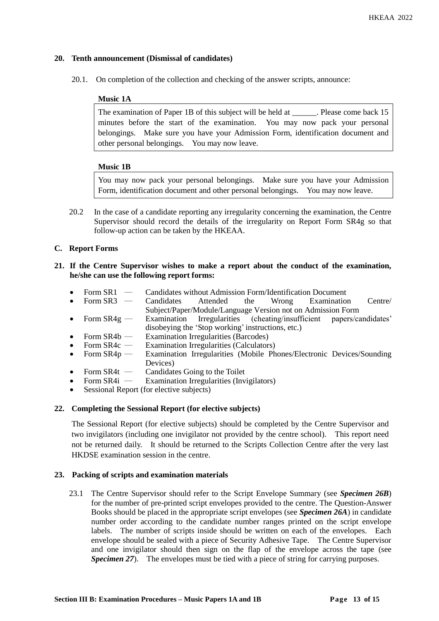# **20. Tenth announcement (Dismissal of candidates)**

20.1. On completion of the collection and checking of the answer scripts, announce:

# **Music 1A**

The examination of Paper 1B of this subject will be held at \_\_\_\_\_\_. Please come back 15 minutes before the start of the examination. You may now pack your personal belongings. Make sure you have your Admission Form, identification document and other personal belongings. You may now leave.

# **Music 1B**

You may now pack your personal belongings. Make sure you have your Admission Form, identification document and other personal belongings. You may now leave.

20.2 In the case of a candidate reporting any irregularity concerning the examination, the Centre Supervisor should record the details of the irregularity on Report Form SR4g so that follow-up action can be taken by the HKEAA.

# **C. Report Forms**

# **21. If the Centre Supervisor wishes to make a report about the conduct of the examination, he/she can use the following report forms:**

- Form SR1 ― Candidates without Admission Form/Identification Document
- Form SR3 Candidates Attended the Wrong Examination Centre/ Subject/Paper/Module/Language Version not on Admission Form
- Form SR4g ― Examination Irregularities (cheating/insufficient papers/candidates' disobeying the 'Stop working' instructions, etc.)
- Form  $SR4b$  Examination Irregularities (Barcodes)
- Form  $SR4c$  Examination Irregularities (Calculators)
- Form SR4p ― Examination Irregularities (Mobile Phones/Electronic Devices/Sounding Devices)
- Form SR4t Candidates Going to the Toilet<br>• Form SR4i Examination Irregularities (Inv
- Examination Irregularities (Invigilators)
- Sessional Report (for elective subjects)

# **22. Completing the Sessional Report (for elective subjects)**

The Sessional Report (for elective subjects) should be completed by the Centre Supervisor and two invigilators (including one invigilator not provided by the centre school). This report need not be returned daily. It should be returned to the Scripts Collection Centre after the very last HKDSE examination session in the centre.

# **23. Packing of scripts and examination materials**

23.1 The Centre Supervisor should refer to the Script Envelope Summary (see *Specimen 26B*) for the number of pre-printed script envelopes provided to the centre. The Question-Answer Books should be placed in the appropriate script envelopes (see *Specimen 26A*) in candidate number order according to the candidate number ranges printed on the script envelope labels. The number of scripts inside should be written on each of the envelopes. Each envelope should be sealed with a piece of Security Adhesive Tape. The Centre Supervisor and one invigilator should then sign on the flap of the envelope across the tape (see *Specimen 27*). The envelopes must be tied with a piece of string for carrying purposes.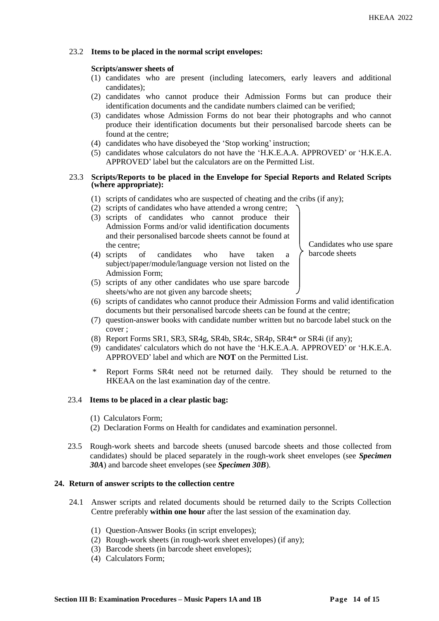# 23.2 **Items to be placed in the normal script envelopes:**

## **Scripts/answer sheets of**

- (1) candidates who are present (including latecomers, early leavers and additional candidates);
- (2) candidates who cannot produce their Admission Forms but can produce their identification documents and the candidate numbers claimed can be verified;
- (3) candidates whose Admission Forms do not bear their photographs and who cannot produce their identification documents but their personalised barcode sheets can be found at the centre;
- (4) candidates who have disobeyed the 'Stop working' instruction;
- (5) candidates whose calculators do not have the 'H.K.E.A.A. APPROVED' or 'H.K.E.A. APPROVED' label but the calculators are on the Permitted List.

#### 23.3 **Scripts/Reports to be placed in the Envelope for Special Reports and Related Scripts (where appropriate):**

- (1) scripts of candidates who are suspected of cheating and the cribs (if any);
- (2) scripts of candidates who have attended a wrong centre;
- (3) scripts of candidates who cannot produce their Admission Forms and/or valid identification documents and their personalised barcode sheets cannot be found at the centre;
- (4) scripts of candidates who have taken a subject/paper/module/language version not listed on the Admission Form;

Candidates who use spare barcode sheets

- (5) scripts of any other candidates who use spare barcode sheets/who are not given any barcode sheets;
- (6) scripts of candidates who cannot produce their Admission Forms and valid identification documents but their personalised barcode sheets can be found at the centre;
- (7) question-answer books with candidate number written but no barcode label stuck on the cover ;
- (8) Report Forms SR1, SR3, SR4g, SR4b, SR4c, SR4p, SR4t\* or SR4i (if any);
- (9) candidates' calculators which do not have the 'H.K.E.A.A. APPROVED' or 'H.K.E.A. APPROVED' label and which are **NOT** on the Permitted List.
- Report Forms SR4t need not be returned daily. They should be returned to the HKEAA on the last examination day of the centre.

# 23.4 **Items to be placed in a clear plastic bag:**

- (1) Calculators Form;
- (2) Declaration Forms on Health for candidates and examination personnel.
- 23.5 Rough-work sheets and barcode sheets (unused barcode sheets and those collected from candidates) should be placed separately in the rough-work sheet envelopes (see *Specimen 30A*) and barcode sheet envelopes (see *Specimen 30B*).

# **24. Return of answer scripts to the collection centre**

- 24.1 Answer scripts and related documents should be returned daily to the Scripts Collection Centre preferably **within one hour** after the last session of the examination day.
	- (1) Question-Answer Books (in script envelopes);
	- (2) Rough-work sheets (in rough-work sheet envelopes) (if any);
	- (3) Barcode sheets (in barcode sheet envelopes);
	- (4) Calculators Form;